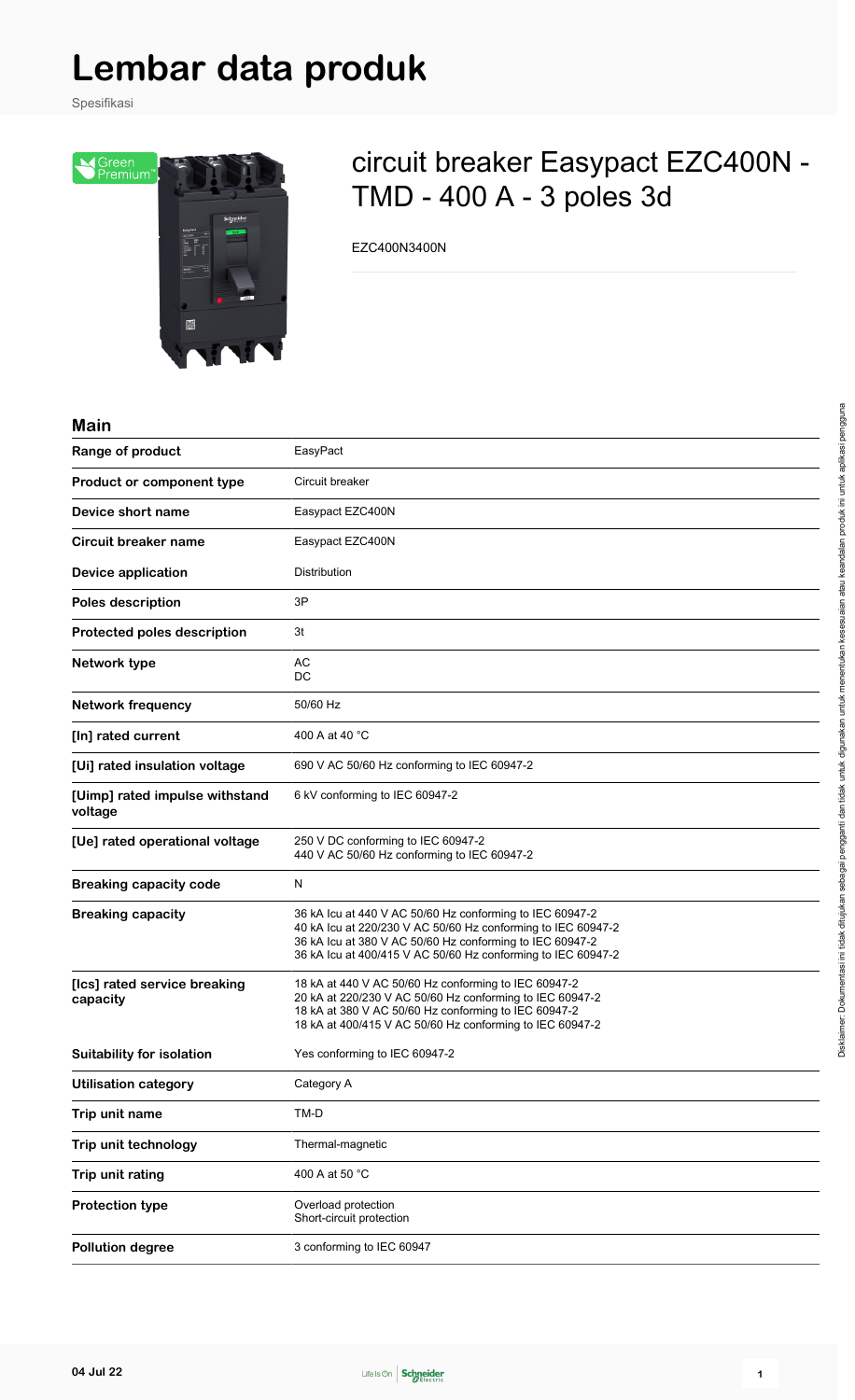# **Lembar data produk**

Spesifikasi



# circuit breaker Easypact EZC400N - TMD - 400 A - 3 poles 3d

EZC400N3400N

#### **Main**

| <u>IIILIII</u>                            |                                                                                                                                                                                                                                                      |
|-------------------------------------------|------------------------------------------------------------------------------------------------------------------------------------------------------------------------------------------------------------------------------------------------------|
| Range of product                          | EasyPact                                                                                                                                                                                                                                             |
| Product or component type                 | Circuit breaker                                                                                                                                                                                                                                      |
| Device short name                         | Easypact EZC400N                                                                                                                                                                                                                                     |
| <b>Circuit breaker name</b>               | Easypact EZC400N                                                                                                                                                                                                                                     |
| <b>Device application</b>                 | Distribution                                                                                                                                                                                                                                         |
| Poles description                         | 3P                                                                                                                                                                                                                                                   |
| Protected poles description               | 3t                                                                                                                                                                                                                                                   |
| Network type                              | AC<br>DC                                                                                                                                                                                                                                             |
| <b>Network frequency</b>                  | 50/60 Hz                                                                                                                                                                                                                                             |
| [In] rated current                        | 400 A at 40 °C                                                                                                                                                                                                                                       |
| [Ui] rated insulation voltage             | 690 V AC 50/60 Hz conforming to IEC 60947-2                                                                                                                                                                                                          |
| [Uimp] rated impulse withstand<br>voltage | 6 kV conforming to IEC 60947-2                                                                                                                                                                                                                       |
| [Ue] rated operational voltage            | 250 V DC conforming to IEC 60947-2<br>440 V AC 50/60 Hz conforming to IEC 60947-2                                                                                                                                                                    |
| <b>Breaking capacity code</b>             | N                                                                                                                                                                                                                                                    |
| <b>Breaking capacity</b>                  | 36 kA lcu at 440 V AC 50/60 Hz conforming to IEC 60947-2<br>40 kA lcu at 220/230 V AC 50/60 Hz conforming to IEC 60947-2<br>36 kA lcu at 380 V AC 50/60 Hz conforming to IEC 60947-2<br>36 kA lcu at 400/415 V AC 50/60 Hz conforming to IEC 60947-2 |
| [Ics] rated service breaking<br>capacity  | 18 kA at 440 V AC 50/60 Hz conforming to IEC 60947-2<br>20 kA at 220/230 V AC 50/60 Hz conforming to IEC 60947-2<br>18 kA at 380 V AC 50/60 Hz conforming to IEC 60947-2<br>18 kA at 400/415 V AC 50/60 Hz conforming to IEC 60947-2                 |
| Suitability for isolation                 | Yes conforming to IEC 60947-2                                                                                                                                                                                                                        |
| <b>Utilisation category</b>               | Category A                                                                                                                                                                                                                                           |
| Trip unit name                            | TM-D                                                                                                                                                                                                                                                 |
| Trip unit technology                      | Thermal-magnetic                                                                                                                                                                                                                                     |
| Trip unit rating                          | 400 A at 50 °C                                                                                                                                                                                                                                       |
| <b>Protection type</b>                    | Overload protection<br>Short-circuit protection                                                                                                                                                                                                      |
| <b>Pollution degree</b>                   | 3 conforming to IEC 60947                                                                                                                                                                                                                            |

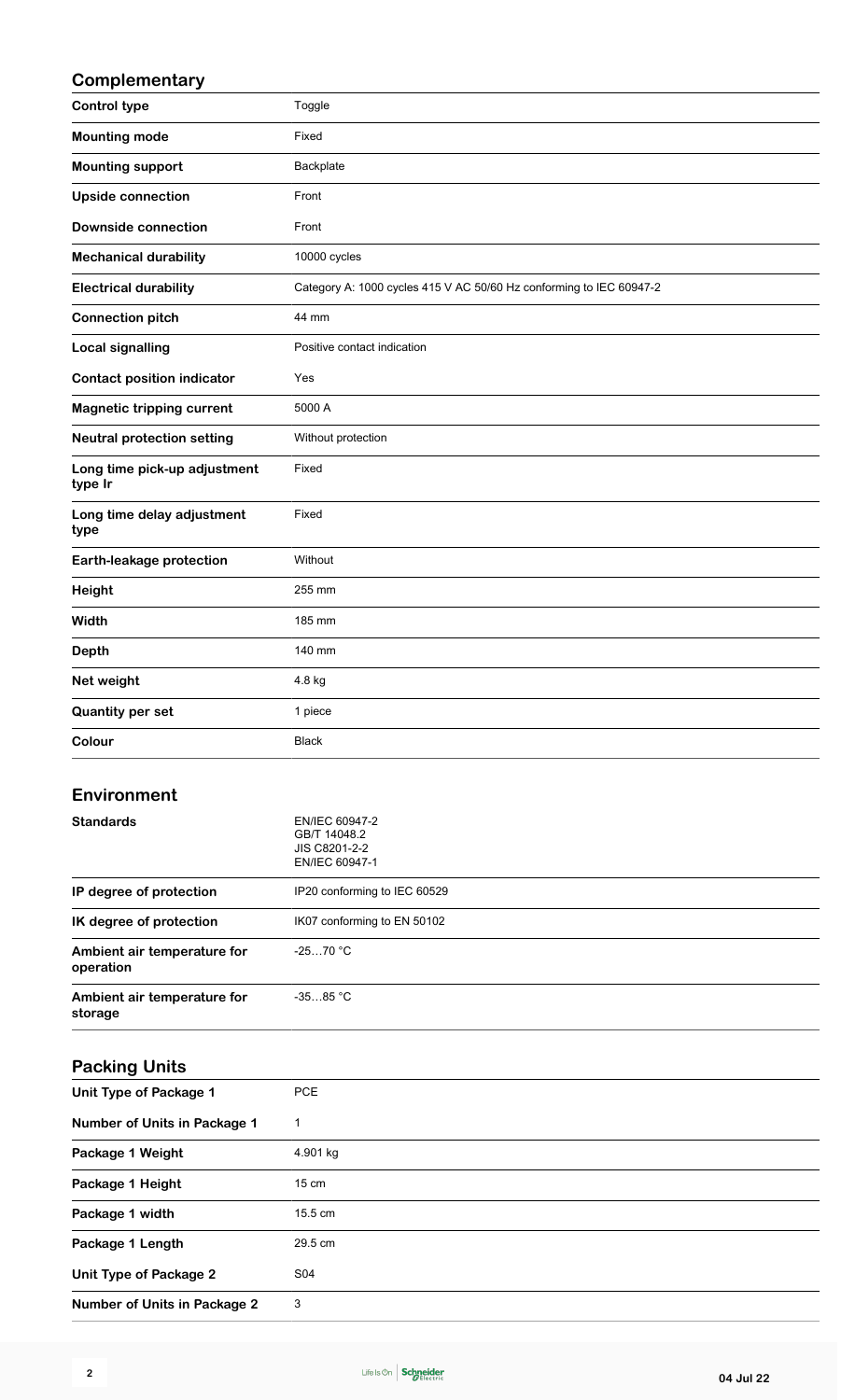### **Complementary**

| <b>Control type</b>                     | Toggle                                                              |
|-----------------------------------------|---------------------------------------------------------------------|
| <b>Mounting mode</b>                    | Fixed                                                               |
| <b>Mounting support</b>                 | Backplate                                                           |
| <b>Upside connection</b>                | Front                                                               |
| <b>Downside connection</b>              | Front                                                               |
| <b>Mechanical durability</b>            | 10000 cycles                                                        |
| <b>Electrical durability</b>            | Category A: 1000 cycles 415 V AC 50/60 Hz conforming to IEC 60947-2 |
| <b>Connection pitch</b>                 | 44 mm                                                               |
| <b>Local signalling</b>                 | Positive contact indication                                         |
| <b>Contact position indicator</b>       | Yes                                                                 |
| <b>Magnetic tripping current</b>        | 5000 A                                                              |
| <b>Neutral protection setting</b>       | Without protection                                                  |
| Long time pick-up adjustment<br>type Ir | Fixed                                                               |
| Long time delay adjustment<br>type      | Fixed                                                               |
| Earth-leakage protection                | Without                                                             |
| Height                                  | 255 mm                                                              |
| Width                                   | 185 mm                                                              |
| <b>Depth</b>                            | 140 mm                                                              |
| Net weight                              | 4.8 kg                                                              |
| <b>Quantity per set</b>                 | 1 piece                                                             |
| Colour                                  | <b>Black</b>                                                        |
| Environment                             |                                                                     |

| <b>Standards</b>                         | EN/IEC 60947-2<br>GB/T 14048.2<br>JIS C8201-2-2<br>EN/IEC 60947-1 |
|------------------------------------------|-------------------------------------------------------------------|
| IP degree of protection                  | IP20 conforming to IEC 60529                                      |
| IK degree of protection                  | IK07 conforming to EN 50102                                       |
| Ambient air temperature for<br>operation | $-2570 °C$                                                        |
| Ambient air temperature for<br>storage   | $-3585$ °C                                                        |

### **Packing Units**

| <b>PCE</b><br>Unit Type of Package 1<br>Number of Units in Package 1<br>1<br>4.901 kg<br>Package 1 Weight<br>Package 1 Height<br>$15 \text{ cm}$<br>Package 1 width<br>15.5 cm<br>29.5 cm<br>Package 1 Length<br>S04<br>Unit Type of Package 2<br>3<br>Number of Units in Package 2 |  |
|-------------------------------------------------------------------------------------------------------------------------------------------------------------------------------------------------------------------------------------------------------------------------------------|--|
|                                                                                                                                                                                                                                                                                     |  |
|                                                                                                                                                                                                                                                                                     |  |
|                                                                                                                                                                                                                                                                                     |  |
|                                                                                                                                                                                                                                                                                     |  |
|                                                                                                                                                                                                                                                                                     |  |
|                                                                                                                                                                                                                                                                                     |  |
|                                                                                                                                                                                                                                                                                     |  |
|                                                                                                                                                                                                                                                                                     |  |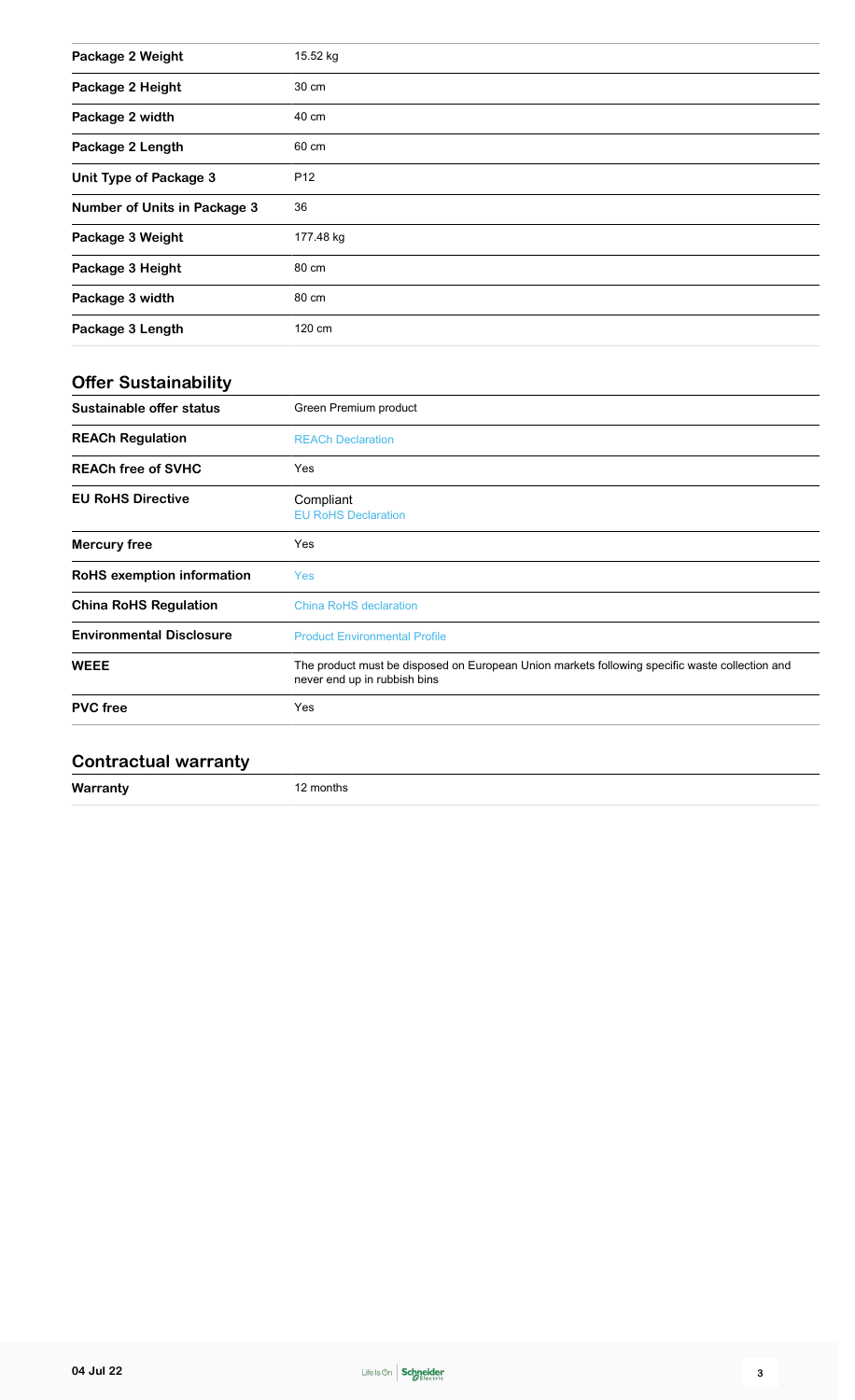| Package 2 Weight              | 15.52 kg        |
|-------------------------------|-----------------|
| Package 2 Height              | 30 cm           |
| Package 2 width               | 40 cm           |
| Package 2 Length              | 60 cm           |
| <b>Unit Type of Package 3</b> | P <sub>12</sub> |
| Number of Units in Package 3  | 36              |
| Package 3 Weight              | 177.48 kg       |
| Package 3 Height              | 80 cm           |
| Package 3 width               | 80 cm           |
| Package 3 Length              | 120 cm          |

## **Offer Sustainability**

| Sustainable offer status        | Green Premium product                                                                                                          |
|---------------------------------|--------------------------------------------------------------------------------------------------------------------------------|
| <b>REACh Regulation</b>         | <b>REACh Declaration</b>                                                                                                       |
| <b>REACh free of SVHC</b>       | Yes                                                                                                                            |
| <b>EU RoHS Directive</b>        | Compliant<br><b>EU RoHS Declaration</b>                                                                                        |
| Mercury free                    | Yes                                                                                                                            |
| RoHS exemption information      | <b>Yes</b>                                                                                                                     |
| <b>China RoHS Regulation</b>    | <b>China RoHS declaration</b>                                                                                                  |
| <b>Environmental Disclosure</b> | <b>Product Environmental Profile</b>                                                                                           |
| <b>WEEE</b>                     | The product must be disposed on European Union markets following specific waste collection and<br>never end up in rubbish bins |
| <b>PVC</b> free                 | Yes                                                                                                                            |
|                                 |                                                                                                                                |

#### **Contractual warranty**

| Warranty<br>montns |  |
|--------------------|--|
|--------------------|--|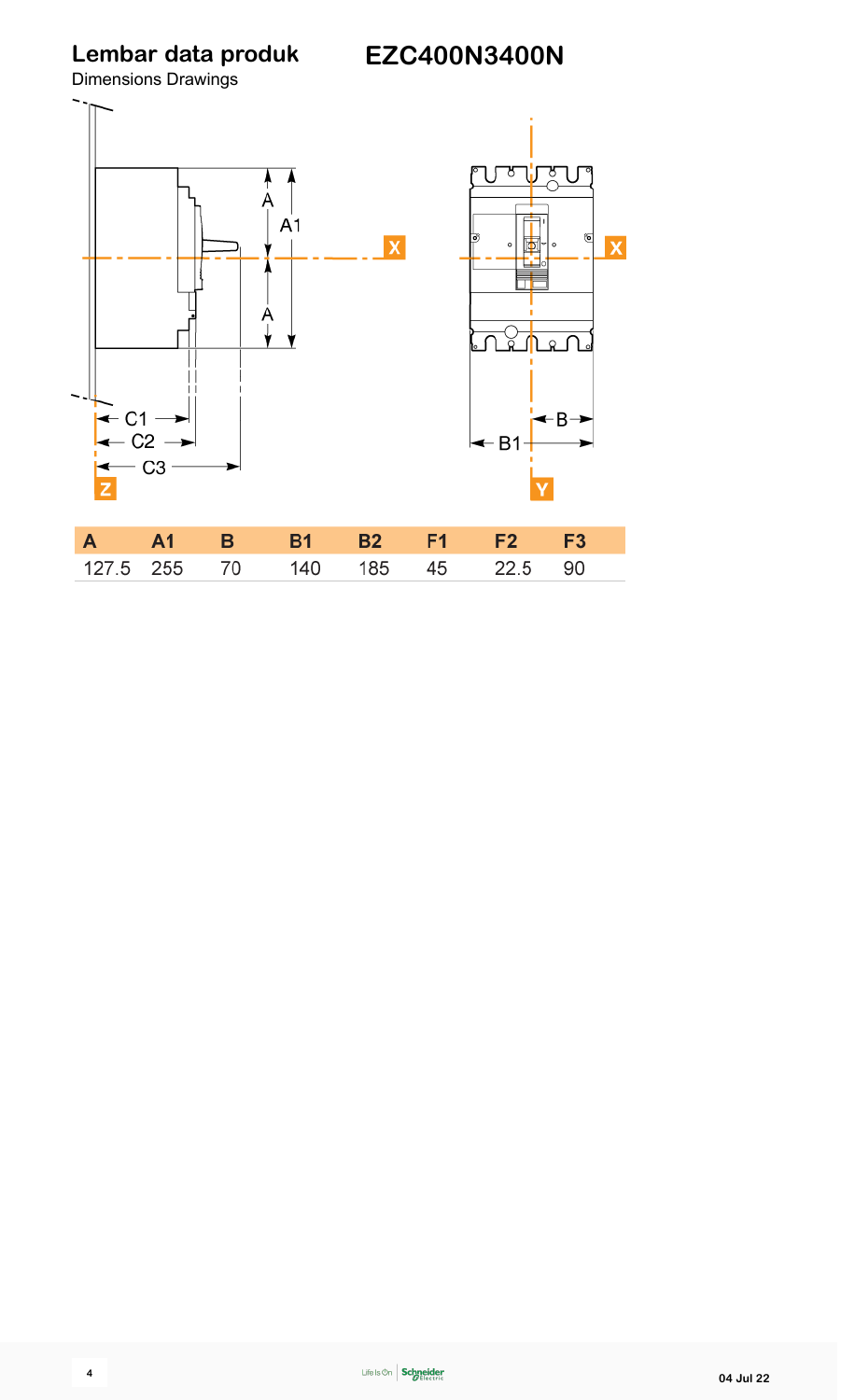**Lembar data produk**

Dimensions Drawings

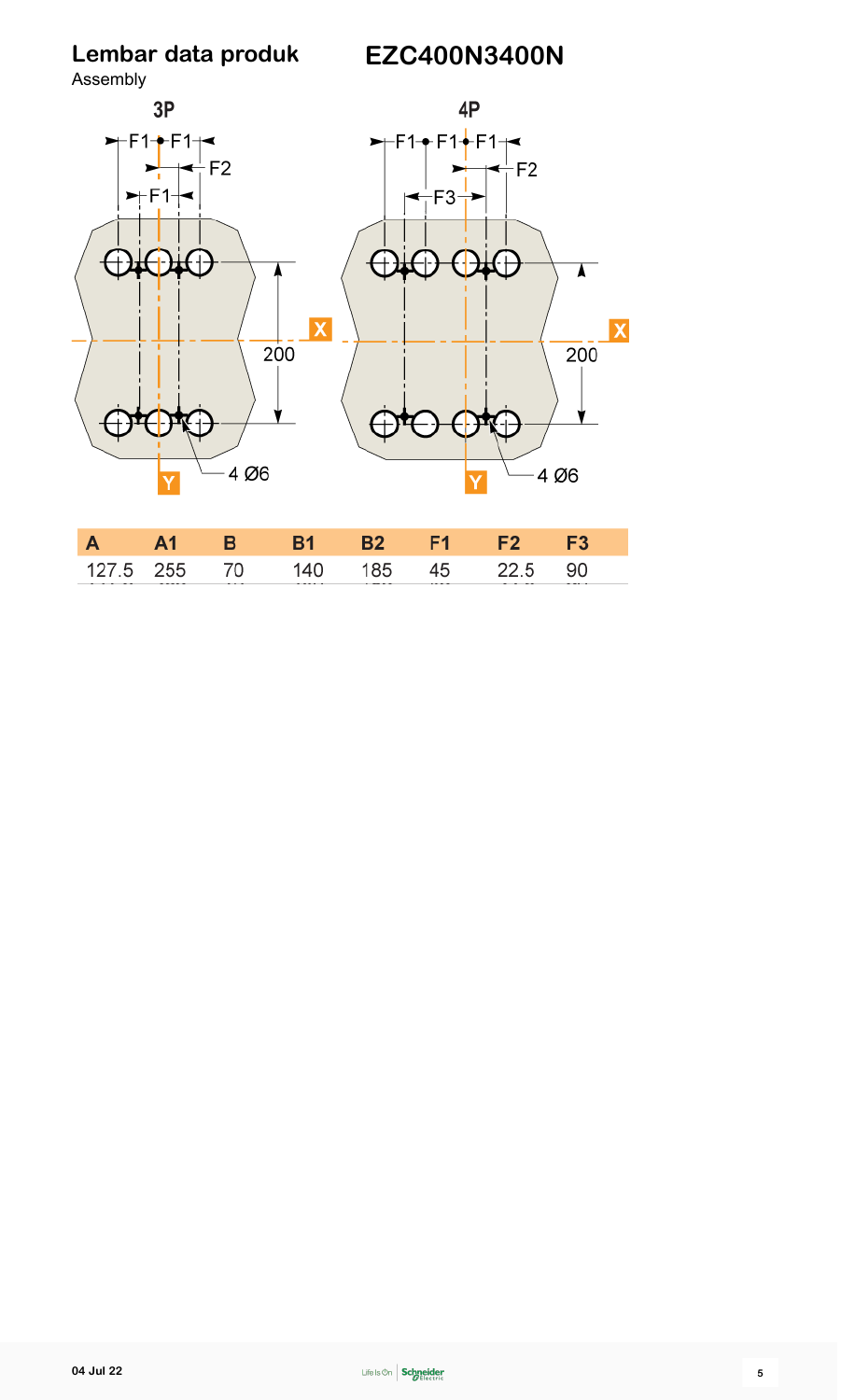**Lembar data produk**

70

140

185

45

22.5

90